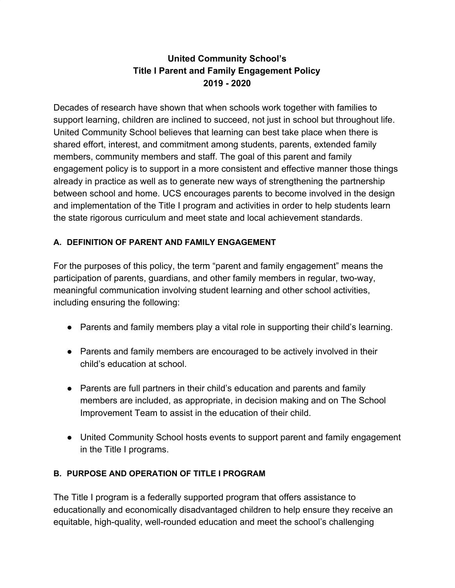# **United Community School's Title I Parent and Family Engagement Policy 2019 - 2020**

Decades of research have shown that when schools work together with families to support learning, children are inclined to succeed, not just in school but throughout life. United Community School believes that learning can best take place when there is shared effort, interest, and commitment among students, parents, extended family members, community members and staff. The goal of this parent and family engagement policy is to support in a more consistent and effective manner those things already in practice as well as to generate new ways of strengthening the partnership between school and home. UCS encourages parents to become involved in the design and implementation of the Title I program and activities in order to help students learn the state rigorous curriculum and meet state and local achievement standards.

## **A. DEFINITION OF PARENT AND FAMILY ENGAGEMENT**

For the purposes of this policy, the term "parent and family engagement" means the participation of parents, guardians, and other family members in regular, two-way, meaningful communication involving student learning and other school activities, including ensuring the following:

- Parents and family members play a vital role in supporting their child's learning.
- Parents and family members are encouraged to be actively involved in their child's education at school.
- Parents are full partners in their child's education and parents and family members are included, as appropriate, in decision making and on The School Improvement Team to assist in the education of their child.
- United Community School hosts events to support parent and family engagement in the Title I programs.

### **B. PURPOSE AND OPERATION OF TITLE I PROGRAM**

The Title I program is a federally supported program that offers assistance to educationally and economically disadvantaged children to help ensure they receive an equitable, high-quality, well-rounded education and meet the school's challenging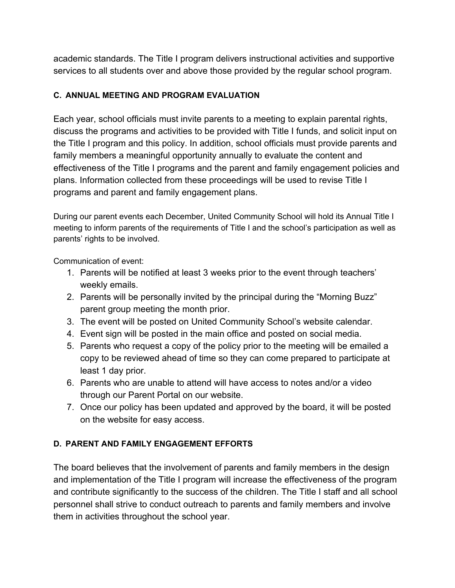academic standards. The Title I program delivers instructional activities and supportive services to all students over and above those provided by the regular school program.

## **C. ANNUAL MEETING AND PROGRAM EVALUATION**

Each year, school officials must invite parents to a meeting to explain parental rights, discuss the programs and activities to be provided with Title I funds, and solicit input on the Title I program and this policy. In addition, school officials must provide parents and family members a meaningful opportunity annually to evaluate the content and effectiveness of the Title I programs and the parent and family engagement policies and plans. Information collected from these proceedings will be used to revise Title I programs and parent and family engagement plans.

During our parent events each December, United Community School will hold its Annual Title I meeting to inform parents of the requirements of Title I and the school's participation as well as parents' rights to be involved.

Communication of event:

- 1. Parents will be notified at least 3 weeks prior to the event through teachers' weekly emails.
- 2. Parents will be personally invited by the principal during the "Morning Buzz" parent group meeting the month prior.
- 3. The event will be posted on United Community School's website calendar.
- 4. Event sign will be posted in the main office and posted on social media.
- 5. Parents who request a copy of the policy prior to the meeting will be emailed a copy to be reviewed ahead of time so they can come prepared to participate at least 1 day prior.
- 6. Parents who are unable to attend will have access to notes and/or a video through our Parent Portal on our website.
- 7. Once our policy has been updated and approved by the board, it will be posted on the website for easy access.

# **D. PARENT AND FAMILY ENGAGEMENT EFFORTS**

The board believes that the involvement of parents and family members in the design and implementation of the Title I program will increase the effectiveness of the program and contribute significantly to the success of the children. The Title I staff and all school personnel shall strive to conduct outreach to parents and family members and involve them in activities throughout the school year.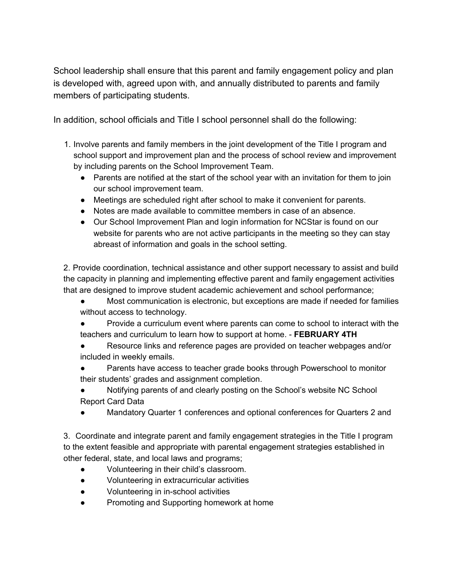School leadership shall ensure that this parent and family engagement policy and plan is developed with, agreed upon with, and annually distributed to parents and family members of participating students.

In addition, school officials and Title I school personnel shall do the following:

- 1. Involve parents and family members in the joint development of the Title I program and school support and improvement plan and the process of school review and improvement by including parents on the School Improvement Team.
	- Parents are notified at the start of the school year with an invitation for them to join our school improvement team.
	- Meetings are scheduled right after school to make it convenient for parents.
	- Notes are made available to committee members in case of an absence.
	- Our School Improvement Plan and login information for NCStar is found on our website for parents who are not active participants in the meeting so they can stay abreast of information and goals in the school setting.

2. Provide coordination, technical assistance and other support necessary to assist and build the capacity in planning and implementing effective parent and family engagement activities that are designed to improve student academic achievement and school performance;

- Most communication is electronic, but exceptions are made if needed for families without access to technology.
- Provide a curriculum event where parents can come to school to interact with the teachers and curriculum to learn how to support at home. - **FEBRUARY 4TH**
- Resource links and reference pages are provided on teacher webpages and/or included in weekly emails.
- Parents have access to teacher grade books through Powerschool to monitor their students' grades and assignment completion.
- Notifying parents of and clearly posting on the School's website NC School Report Card Data
- Mandatory Quarter 1 conferences and optional conferences for Quarters 2 and

3. Coordinate and integrate parent and family engagement strategies in the Title I program to the extent feasible and appropriate with parental engagement strategies established in other federal, state, and local laws and programs;

- Volunteering in their child's classroom.
- Volunteering in extracurricular activities
- Volunteering in in-school activities
- Promoting and Supporting homework at home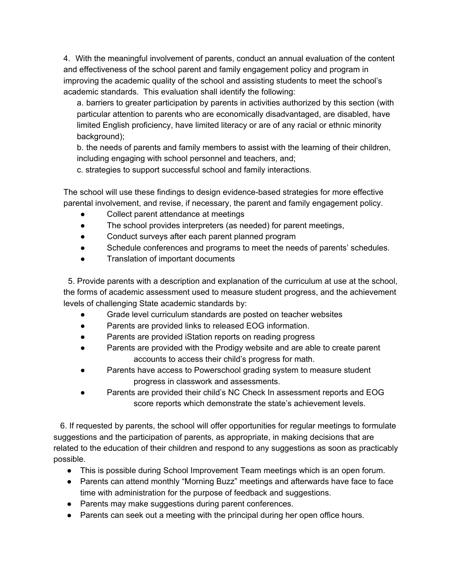4. With the meaningful involvement of parents, conduct an annual evaluation of the content and effectiveness of the school parent and family engagement policy and program in improving the academic quality of the school and assisting students to meet the school's academic standards. This evaluation shall identify the following:

a. barriers to greater participation by parents in activities authorized by this section (with particular attention to parents who are economically disadvantaged, are disabled, have limited English proficiency, have limited literacy or are of any racial or ethnic minority background);

b. the needs of parents and family members to assist with the learning of their children, including engaging with school personnel and teachers, and;

c. strategies to support successful school and family interactions.

The school will use these findings to design evidence-based strategies for more effective parental involvement, and revise, if necessary, the parent and family engagement policy.

- Collect parent attendance at meetings
- The school provides interpreters (as needed) for parent meetings,
- Conduct surveys after each parent planned program
- Schedule conferences and programs to meet the needs of parents' schedules.
- Translation of important documents

5. Provide parents with a description and explanation of the curriculum at use at the school, the forms of academic assessment used to measure student progress, and the achievement levels of challenging State academic standards by:

- Grade level curriculum standards are posted on teacher websites
- Parents are provided links to released EOG information.
- Parents are provided iStation reports on reading progress
- Parents are provided with the Prodigy website and are able to create parent accounts to access their child's progress for math.
- Parents have access to Powerschool grading system to measure student progress in classwork and assessments.
- Parents are provided their child's NC Check In assessment reports and EOG score reports which demonstrate the state's achievement levels.

6. If requested by parents, the school will offer opportunities for regular meetings to formulate suggestions and the participation of parents, as appropriate, in making decisions that are related to the education of their children and respond to any suggestions as soon as practicably possible.

- This is possible during School Improvement Team meetings which is an open forum.
- Parents can attend monthly "Morning Buzz" meetings and afterwards have face to face time with administration for the purpose of feedback and suggestions.
- Parents may make suggestions during parent conferences.
- Parents can seek out a meeting with the principal during her open office hours.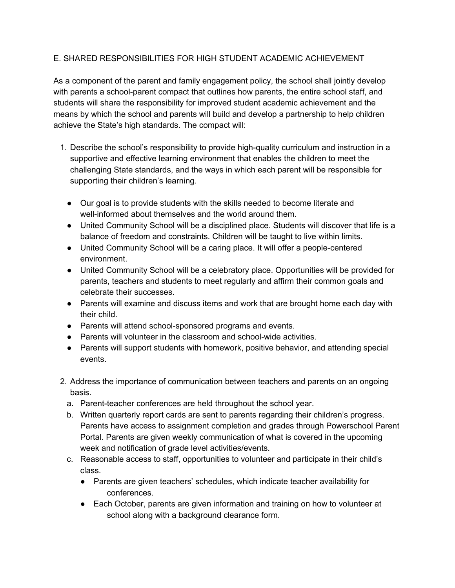#### E. SHARED RESPONSIBILITIES FOR HIGH STUDENT ACADEMIC ACHIEVEMENT

As a component of the parent and family engagement policy, the school shall jointly develop with parents a school-parent compact that outlines how parents, the entire school staff, and students will share the responsibility for improved student academic achievement and the means by which the school and parents will build and develop a partnership to help children achieve the State's high standards. The compact will:

- 1. Describe the school's responsibility to provide high-quality curriculum and instruction in a supportive and effective learning environment that enables the children to meet the challenging State standards, and the ways in which each parent will be responsible for supporting their children's learning.
	- Our goal is to provide students with the skills needed to become literate and well-informed about themselves and the world around them.
	- United Community School will be a disciplined place. Students will discover that life is a balance of freedom and constraints. Children will be taught to live within limits.
	- United Community School will be a caring place. It will offer a people-centered environment.
	- United Community School will be a celebratory place. Opportunities will be provided for parents, teachers and students to meet regularly and affirm their common goals and celebrate their successes.
	- Parents will examine and discuss items and work that are brought home each day with their child.
	- Parents will attend school-sponsored programs and events.
	- Parents will volunteer in the classroom and school-wide activities.
	- Parents will support students with homework, positive behavior, and attending special events.
- 2. Address the importance of communication between teachers and parents on an ongoing basis.
	- a. Parent-teacher conferences are held throughout the school year.
	- b. Written quarterly report cards are sent to parents regarding their children's progress. Parents have access to assignment completion and grades through Powerschool Parent Portal. Parents are given weekly communication of what is covered in the upcoming week and notification of grade level activities/events.
	- c. Reasonable access to staff, opportunities to volunteer and participate in their child's class.
		- Parents are given teachers' schedules, which indicate teacher availability for conferences.
		- Each October, parents are given information and training on how to volunteer at school along with a background clearance form.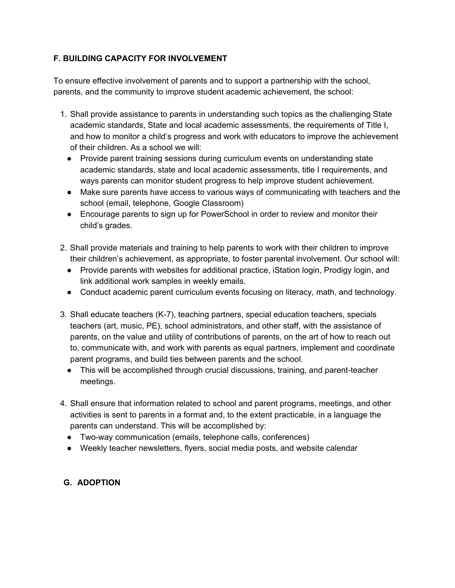#### **F. BUILDING CAPACITY FOR INVOLVEMENT**

To ensure effective involvement of parents and to support a partnership with the school, parents, and the community to improve student academic achievement, the school:

- 1. Shall provide assistance to parents in understanding such topics as the challenging State academic standards, State and local academic assessments, the requirements of Title I, and how to monitor a child's progress and work with educators to improve the achievement of their children. As a school we will:
	- Provide parent training sessions during curriculum events on understanding state academic standards, state and local academic assessments, title I requirements, and ways parents can monitor student progress to help improve student achievement.
	- Make sure parents have access to various ways of communicating with teachers and the school (email, telephone, Google Classroom)
	- Encourage parents to sign up for PowerSchool in order to review and monitor their child's grades.
- 2. Shall provide materials and training to help parents to work with their children to improve their children's achievement, as appropriate, to foster parental involvement. Our school will:
	- Provide parents with websites for additional practice, iStation login, Prodigy login, and link additional work samples in weekly emails.
	- Conduct academic parent curriculum events focusing on literacy, math, and technology.
- 3. Shall educate teachers (K-7), teaching partners, special education teachers, specials teachers (art, music, PE), school administrators, and other staff, with the assistance of parents, on the value and utility of contributions of parents, on the art of how to reach out to, communicate with, and work with parents as equal partners, implement and coordinate parent programs, and build ties between parents and the school.
	- This will be accomplished through crucial discussions, training, and parent-teacher meetings.
- 4. Shall ensure that information related to school and parent programs, meetings, and other activities is sent to parents in a format and, to the extent practicable, in a language the parents can understand. This will be accomplished by:
	- Two-way communication (emails, telephone calls, conferences)
	- Weekly teacher newsletters, flyers, social media posts, and website calendar

### **G. ADOPTION**